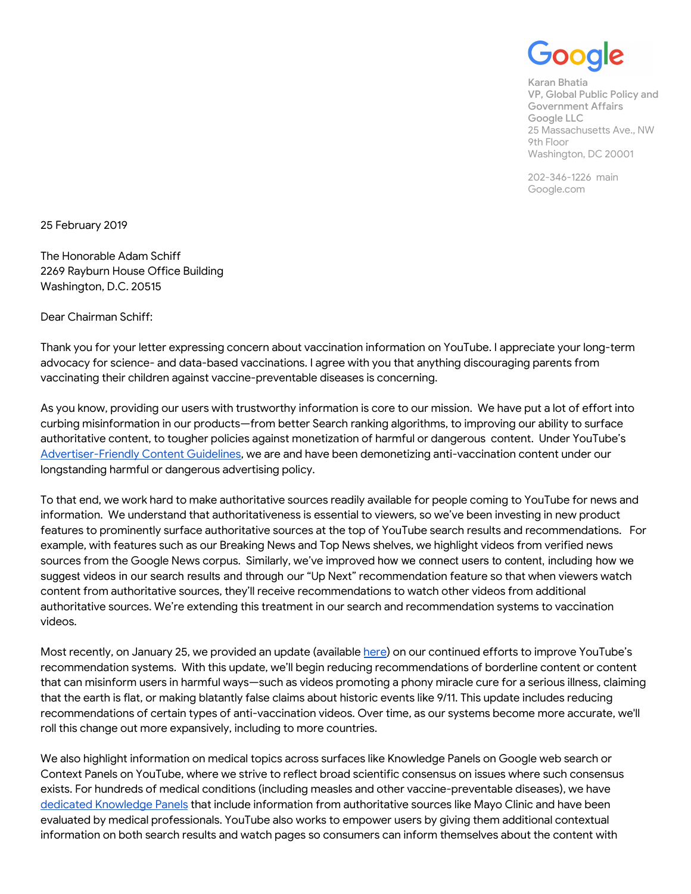5O

Karan Bhatia VP, Global Public Policy and Government Affairs Google LLC 25 Massachusetts Ave., NW 9th Floor Washington, DC 20001

202-346-1226 main Google.com

25 February 2019

The Honorable Adam Schiff 2269 Rayburn House Office Building Washington, D.C. 20515

Dear Chairman Schiff:

Thank you for your letter expressing concern about vaccination information on YouTube. I appreciate your long-term advocacy for science- and data-based vaccinations. I agree with you that anything discouraging parents from vaccinating their children against vaccine-preventable diseases is concerning.

As you know, providing our users with trustworthy information is core to our mission. We have put a lot of effort into curbing misinformation in our products—from better Search ranking algorithms, to improving our ability to surface authoritative content, to tougher policies against monetization of harmful or dangerous content. Under YouTube's [Advertiser-Friendly](https://support.google.com/youtube/answer/6162278?hl=en) Content Guidelines, we are and have been demonetizing anti-vaccination content under our longstanding harmful or dangerous advertising policy.

To that end, we work hard to make authoritative sources readily available for people coming to YouTube for news and information. We understand that authoritativeness is essential to viewers, so we've been investing in new product features to prominently surface authoritative sources at the top of YouTube search results and recommendations. For example, with features such as our Breaking News and Top News shelves, we highlight videos from verified news sources from the Google News corpus. Similarly, we've improved how we connect users to content, including how we suggest videos in our search results and through our "Up Next" recommendation feature so that when viewers watch content from authoritative sources, they'll receive recommendations to watch other videos from additional authoritative sources. We're extending this treatment in our search and recommendation systems to vaccination videos.

Most recently, on January 25, we provided an update (available [here\)](https://youtube.googleblog.com/2019/01/continuing-%20our-work-to-improve.html) on our continued efforts to improve YouTube's recommendation systems. With this update, we'll begin reducing recommendations of borderline content or content that can misinform users in harmful ways—such as videos promoting a phony miracle cure for a serious illness, claiming that the earth is flat, or making blatantly false claims about historic events like 9/11. This update includes reducing recommendations of certain types of anti-vaccination videos. Over time, as our systems become more accurate, we'll roll this change out more expansively, including to more countries.

We also highlight information on medical topics across surfaces like Knowledge Panels on Google web search or Context Panels on YouTube, where we strive to reflect broad scientific consensus on issues where such consensus exists. For hundreds of medical conditions (including measles and other vaccine-preventable diseases), we have dedicated [Knowledge](https://googleblog.blogspot.com/2015/02/health-info-knowledge-graph.html) Panels that include information from authoritative sources like Mayo Clinic and have been evaluated by medical professionals. YouTube also works to empower users by giving them additional contextual information on both search results and watch pages so consumers can inform themselves about the content with